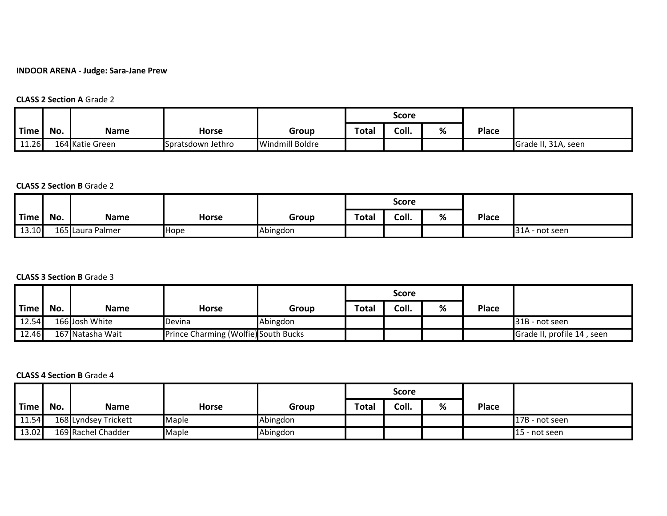## **INDOOR ARENA - Judge: Sara-Jane Prew**

#### **CLASS 2 Section A** Grade 2

|               |     |                 |                   |                        |       | Score |   |       |                     |
|---------------|-----|-----------------|-------------------|------------------------|-------|-------|---|-------|---------------------|
| Time <b>I</b> | No. | <b>Name</b>     | <b>Horse</b>      | Group                  | Total | Coll. | % | Place |                     |
| 11.26         |     | 164 Katie Green | Spratsdown Jethro | <b>Windmill Boldre</b> |       |       |   |       | Grade II, 31A, seen |

#### **CLASS 2 Section B** Grade 2

|       |     |                  |              |          |       | <b>Score</b> |   |              |                |
|-------|-----|------------------|--------------|----------|-------|--------------|---|--------------|----------------|
| Time  | No. | <b>Name</b>      | <b>Horse</b> | Group    | Total | Coll.        | % | <b>Place</b> |                |
| 13.10 |     | 165 Laura Palmer | <b>Hope</b>  | Abingdon |       |              |   |              | 31A - not seen |

## **CLASS 3 Section B** Grade 3

|               |     |                  |                                      |          | <b>Score</b> |       |   |       |                            |
|---------------|-----|------------------|--------------------------------------|----------|--------------|-------|---|-------|----------------------------|
| Time <b>I</b> | No. | <b>Name</b>      | <b>Horse</b>                         | Group    | <b>Total</b> | Coll. | % | Place |                            |
| 12.54         |     | 166 Josh White   | Devina                               | Abingdon |              |       |   |       | 31B - not seen             |
| 12.46         |     | 167 Natasha Wait | Prince Charming (Wolfie) South Bucks |          |              |       |   |       | Grade II, profile 14, seen |

#### **CLASS 4 Section B** Grade 4

|             |     |                      |              |          | <b>Score</b> |       |   |              |                |
|-------------|-----|----------------------|--------------|----------|--------------|-------|---|--------------|----------------|
| <b>Time</b> | No. | <b>Name</b>          | <b>Horse</b> | Group    | Total        | Coll. | % | <b>Place</b> |                |
| 11.54       |     | 168 Lyndsey Trickett | Maple        | Abingdon |              |       |   |              | 17B - not seen |
| 13.02       |     | 169 Rachel Chadder   | Maple        | Abingdon |              |       |   |              | 15 - not seen  |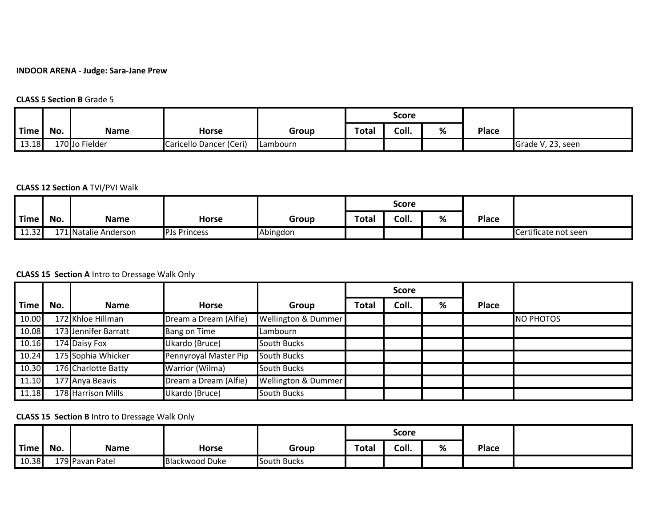## **INDOOR ARENA - Judge: Sara-Jane Prew**

#### **CLASS 5 Section B** Grade 5

|                   |     |                |                         |                 |       | Score |   |       |                   |
|-------------------|-----|----------------|-------------------------|-----------------|-------|-------|---|-------|-------------------|
| <sup>'</sup> Time | No. | <b>Name</b>    | <b>Horse</b>            | Group           | Total | Coll. | % | Place |                   |
| 13.18             |     | 170 Jo Fielder | Caricello Dancer (Ceri) | <b>Lambourn</b> |       |       |   |       | Grade V, 23, seen |

## **CLASS 12 Section A** TVI/PVI Walk

|       |     |                      |                     |          |       | <b>Score</b> |   |              |                      |
|-------|-----|----------------------|---------------------|----------|-------|--------------|---|--------------|----------------------|
| Time, | No. | <b>Name</b>          | Horse               | Group    | Total | Coll.        | % | <b>Place</b> |                      |
| 11.32 |     | 171 Natalie Anderson | <b>PJs Princess</b> | Abingdon |       |              |   |              | Certificate not seen |

## **CLASS 15 Section A** Intro to Dressage Walk Only

|             |     |                      |                       |                     |              | <b>Score</b> |   |       |           |
|-------------|-----|----------------------|-----------------------|---------------------|--------------|--------------|---|-------|-----------|
| <b>Time</b> | No. | <b>Name</b>          | <b>Horse</b>          | Group               | <b>Total</b> | Coll.        | % | Place |           |
| 10.00       |     | 172 Khloe Hillman    | Dream a Dream (Alfie) | Wellington & Dummer |              |              |   |       | NO PHOTOS |
| 10.08       |     | 173 Jennifer Barratt | Bang on Time          | Lambourn            |              |              |   |       |           |
| 10.16       |     | 174 Daisy Fox        | Ukardo (Bruce)        | <b>South Bucks</b>  |              |              |   |       |           |
| 10.24       |     | 175 Sophia Whicker   | Pennyroyal Master Pip | South Bucks         |              |              |   |       |           |
| 10.30       |     | 176 Charlotte Batty  | Warrior (Wilma)       | <b>South Bucks</b>  |              |              |   |       |           |
| 11.10       |     | 177 Anya Beavis      | Dream a Dream (Alfie) | Wellington & Dummer |              |              |   |       |           |
| 11.18       |     | 178 Harrison Mills   | Ukardo (Bruce)        | <b>South Bucks</b>  |              |              |   |       |           |

# **CLASS 15 Section B** Intro to Dressage Walk Only

|             |     |                 |                       |                    |              | Score |   |       |  |
|-------------|-----|-----------------|-----------------------|--------------------|--------------|-------|---|-------|--|
| <b>Time</b> | No. | <b>Name</b>     | <b>Horse</b>          | Group              | <b>Total</b> | Coll. | % | Place |  |
| 10.38       |     | 179 Pavan Patel | <b>Blackwood Duke</b> | <b>South Bucks</b> |              |       |   |       |  |